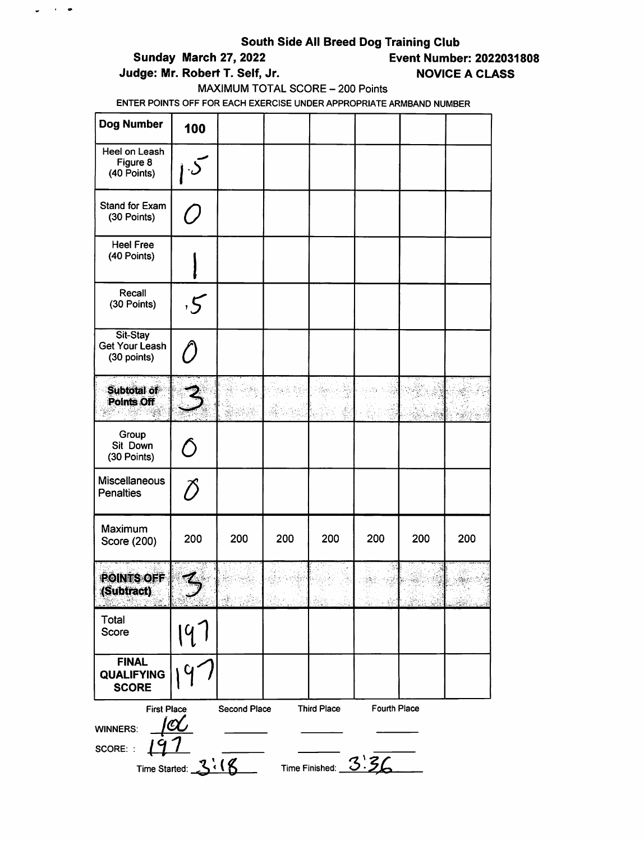$\frac{1}{2}$  and  $\frac{1}{2}$ 

# Sunday March 27, 2022 Event Number: 2022031808

Judge: Mr. Robert T. Self, Jr. NOVICE A CLASS

#### MAXIMUM TOTAL SCORE - 200 Points

| <b>Dog Number</b>                                                                                                                                                       | 100       |     |     |     |     |     |     |
|-------------------------------------------------------------------------------------------------------------------------------------------------------------------------|-----------|-----|-----|-----|-----|-----|-----|
| Heel on Leash<br>Figure 8<br>(40 Points)                                                                                                                                |           |     |     |     |     |     |     |
| <b>Stand for Exam</b><br>(30 Points)                                                                                                                                    |           |     |     |     |     |     |     |
| <b>Heel Free</b><br>(40 Points)                                                                                                                                         |           |     |     |     |     |     |     |
| Recall<br>(30 Points)                                                                                                                                                   | 5         |     |     |     |     |     |     |
| Sit-Stay<br>Get Your Leash<br>(30 points)                                                                                                                               | $\ell$    |     |     |     |     |     |     |
| Subtotal of<br>Points Off                                                                                                                                               |           |     |     |     |     |     |     |
| Group<br>Sit Down<br>(30 Points)                                                                                                                                        | $\bigcap$ |     |     |     |     |     |     |
| Miscellaneous<br><b>Penalties</b>                                                                                                                                       | T)        |     |     |     |     |     |     |
| Maximum<br>Score (200)                                                                                                                                                  | 200       | 200 | 200 | 200 | 200 | 200 | 200 |
| <b>POINTS OFF</b><br>(Subtract)                                                                                                                                         |           |     |     |     |     |     |     |
| Total<br>Score                                                                                                                                                          |           |     |     |     |     |     |     |
| <b>FINAL</b><br><b>QUALIFYING</b><br><b>SCORE</b>                                                                                                                       |           |     |     |     |     |     |     |
| Fourth Place<br><b>Third Place</b><br><b>First Place</b><br>Second Place<br><b>WINNERS:</b><br>SCORE: :<br>Time Started: $3\sqrt[3]{16}$ Time Finished: $3\sqrt[3]{56}$ |           |     |     |     |     |     |     |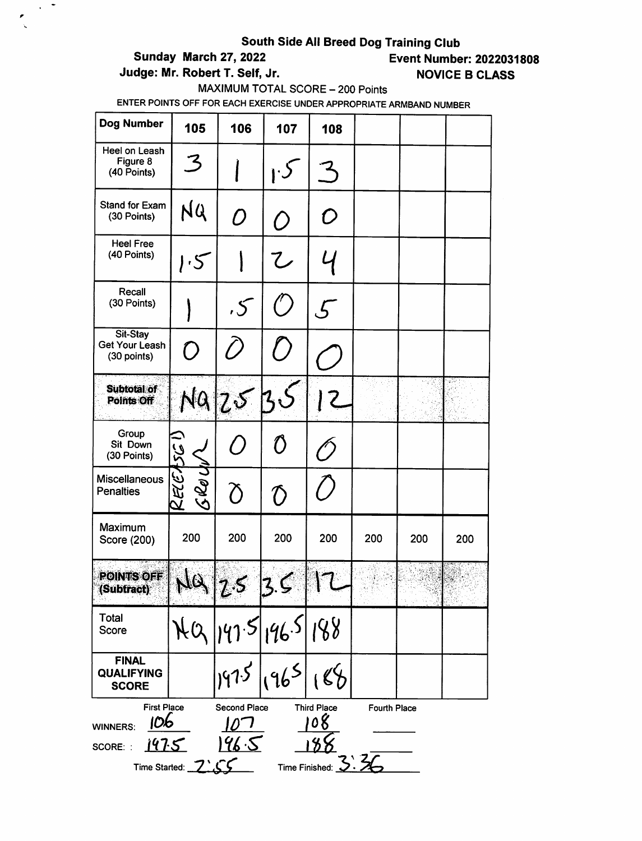$\sim$  7

 $\frac{1}{\sqrt{2}}$ 

# Sunday March 27, 2022 Event Number: 2022031808

Judge: Mr. Robert T. Self, Jr. NOVICE B CLASS

### MAXIMUM TOTAL SCORE - 200 Points

| Dog Number                                                                                                                                                                                          | 105                                               | 106                  | 107                                                       | 108     |     |     |     |  |
|-----------------------------------------------------------------------------------------------------------------------------------------------------------------------------------------------------|---------------------------------------------------|----------------------|-----------------------------------------------------------|---------|-----|-----|-----|--|
| Heel on Leash<br>Figure 8<br>(40 Points)                                                                                                                                                            | 3                                                 |                      |                                                           |         |     |     |     |  |
| <b>Stand for Exam</b><br>(30 Points)                                                                                                                                                                | NQ                                                | $\mathcal{O}$        | ( )                                                       | O       |     |     |     |  |
| <b>Heel Free</b><br>(40 Points)                                                                                                                                                                     | 1.5                                               |                      | $\mathcal{L}% _{M_{1},M_{2}}^{\alpha,\beta}(\varepsilon)$ |         |     |     |     |  |
| Recall<br>(30 Points)                                                                                                                                                                               |                                                   | 5 <sup>5</sup>       |                                                           | $\zeta$ |     |     |     |  |
| Sit-Stay<br><b>Get Your Leash</b><br>(30 points)                                                                                                                                                    | $\left(\begin{matrix} 1 \\ 1 \end{matrix}\right)$ | (                    |                                                           |         |     |     |     |  |
| <b>Subtotal of</b><br>Points Off                                                                                                                                                                    | NQ ZS                                             |                      |                                                           |         |     |     |     |  |
| Group<br>Sit Down<br>(30 Points)                                                                                                                                                                    |                                                   | $\epsilon$           | $\mathcal{U}$                                             |         |     |     |     |  |
| <b>Miscellaneous</b><br><b>Penalties</b>                                                                                                                                                            | RECASCI<br>Gledy                                  | δ                    | $\mathcal D$                                              |         |     |     |     |  |
| Maximum<br>Score (200)                                                                                                                                                                              | 200                                               | 200                  | 200                                                       | 200     | 200 | 200 | 200 |  |
| <b>POINTS OFF</b><br>(Subtract)                                                                                                                                                                     | - 39                                              | $\boldsymbol{\iota}$ |                                                           |         |     |     |     |  |
| <b>Total</b><br>Score                                                                                                                                                                               |                                                   | 141.5 146.5          |                                                           | 188     |     |     |     |  |
| <b>FINAL</b><br><b>QUALIFYING</b><br><b>SCORE</b>                                                                                                                                                   |                                                   | 1975                 |                                                           |         |     |     |     |  |
| <b>First Place</b><br>Second Place<br><b>Third Place</b><br>Fourth Place<br>08<br>106<br><b>WINNERS:</b><br><u> 196.5</u><br>147.5<br>SCORE: :<br>Time Finished: $\mathcal{S}.$<br>Time Started: 7' |                                                   |                      |                                                           |         |     |     |     |  |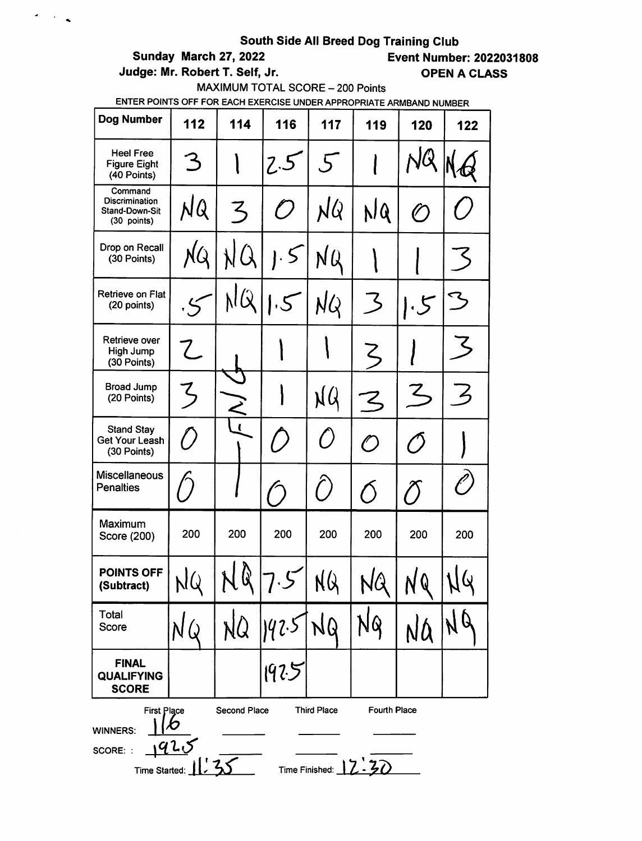$\sigma_{\rm{max}}$ 

Judge: Mr. Robert T. Self, Jr. Casser Communication of the CLASS

# Sunday March 27, 2022 Event Number: 2022031808

MAXIMUM TOTAL SCORE - 200 Points

| Dog Number                                                 | 112                                                                                                                             | 114          | 116           | 117       | 119          | 120                      | 122              |  |
|------------------------------------------------------------|---------------------------------------------------------------------------------------------------------------------------------|--------------|---------------|-----------|--------------|--------------------------|------------------|--|
| <b>Heel Free</b><br><b>Figure Eight</b><br>(40 Points)     | З                                                                                                                               |              | 2.5           | $5^{-}$   |              |                          |                  |  |
| Command<br>Discrimination<br>Stand-Down-Sit<br>(30 points) | NQ                                                                                                                              | ろ            | $\bigcap$     | NQ        | NQ           | $\mathcal O$             |                  |  |
| Drop on Recall<br>(30 Points)                              | NQ                                                                                                                              |              | $\mathcal{S}$ | NQ        |              |                          |                  |  |
| Retrieve on Flat<br>(20 points)                            |                                                                                                                                 |              |               | NQ        | 3            | $\cdot$ 5                |                  |  |
| Retrieve over<br>High Jump<br>(30 Points)                  | Z                                                                                                                               |              |               |           | ζ            |                          |                  |  |
| Broad Jump<br>(20 Points)                                  | てつ                                                                                                                              |              |               | NQ        | <b>ζ</b>     | Z                        | $\measuredangle$ |  |
| <b>Stand Stay</b><br><b>Get Your Leash</b><br>(30 Points)  | $\ell$ ,                                                                                                                        | $\mathbf{I}$ |               | $\bigcap$ | $\mathcal O$ | $\overline{\mathcal{O}}$ |                  |  |
| <b>Miscellaneous</b><br><b>Penalties</b>                   |                                                                                                                                 |              |               | $\bigcap$ | $\bigcirc$   | Ő                        |                  |  |
| Maximum<br>Score (200)                                     | 200                                                                                                                             | 200          | 200           | 200       | 200          | 200                      | 200              |  |
| <b>POINTS OFF</b><br>(Subtract)                            | NQ                                                                                                                              | Q            |               | NQ        | NQ           | NQ                       | NG               |  |
| Total<br>Score                                             |                                                                                                                                 | NQ.          | 192.5         | 10        |              | NQ                       |                  |  |
| <b>FINAL</b><br><b>QUALIFYING</b><br><b>SCORE</b>          |                                                                                                                                 |              | 1925          |           |              |                          |                  |  |
| <b>WINNERS:</b><br>SCORE: :                                | Second Place<br>Fourth Place<br><b>Third Place</b><br>First Place<br>X)<br>925<br>Time Started: 11, 3<br>Time Finished: $12.30$ |              |               |           |              |                          |                  |  |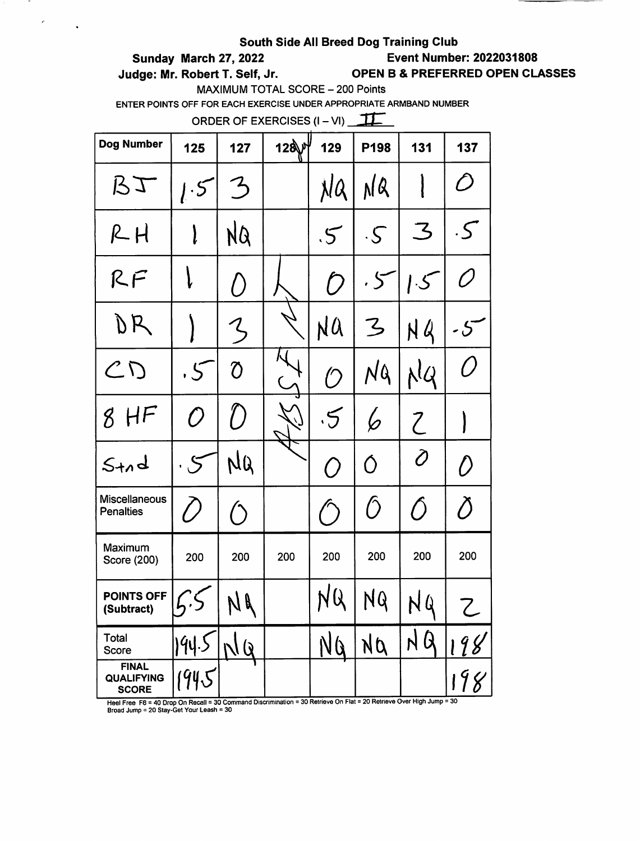# Sunday March 27, 2022 Event Number: 2022031808

 $\epsilon$ 

 $\ddot{\phantom{a}}$ 

Judge: Mr. Robert T. Self, Jr. OPEN B & PREFERRED OPEN CLASSES

MAXIMUM TOTAL SCORE - 200 Points

ENTER POINTS OFF FOR EACH EXERCISE UNDER APPROPRIATE ARMBAND NUMBER

ORDER OF EXERCISES  $(I - VI)$  TT

| <b>Dog Number</b>                                 | 125         | 127               | 128州 | 129           | P198                  | 131                                                       | 137                   |
|---------------------------------------------------|-------------|-------------------|------|---------------|-----------------------|-----------------------------------------------------------|-----------------------|
| $B$ $\mathcal{I}$                                 | 1.5         | $\mathcal{Z}$     |      | NQ            | NQ                    |                                                           | D                     |
| $R$ $H$                                           | l           | NQ                |      | $\mathcal{S}$ | $\cdot$ $\mathcal{S}$ | $\mathcal{Z}% _{M_{1},M_{2}}^{\prime\prime}(\varepsilon)$ | $\cdot$ $\mathcal{S}$ |
| RF                                                |             | $\left(\,\right)$ |      | $\mathcal D$  | .5                    | 1.5                                                       | Õ                     |
| DR                                                |             | Z                 |      | NÛ            | Z                     | N Q                                                       | -5                    |
| CD                                                | .5          | $\overline{O}$    |      | $\bigcirc$    | NQ                    | NQ                                                        | Ő                     |
| 8<br>H <sup>F</sup>                               | O           | $\bigcirc$        |      | $\cdot$ 5     | $\pmb\varphi$         | $\mathcal{C}$                                             |                       |
| $S+n$ d                                           | $\varsigma$ | NQ                |      | $\bigcirc$    | O                     | Ò                                                         | ()                    |
| Miscellaneous<br><b>Penalties</b>                 | / /         |                   |      |               | Ô                     | Ő                                                         | Õ                     |
| Maximum<br>Score (200)                            | 200         | 200               | 200  | 200           | 200                   | 200                                                       | 200                   |
| POINTS OFF<br>(Subtract)                          |             | NA                |      | NQ            | NQ                    | NQ                                                        |                       |
| Total<br>Score                                    | 194.5       | NQ                |      | NQ            | NQ                    | NQ                                                        | 198                   |
| <b>FINAL</b><br><b>QUALIFYING</b><br><b>SCORE</b> | 1945        |                   |      |               |                       |                                                           | 198                   |

Broad Jump = 20 Stay-Get Your Leash = 30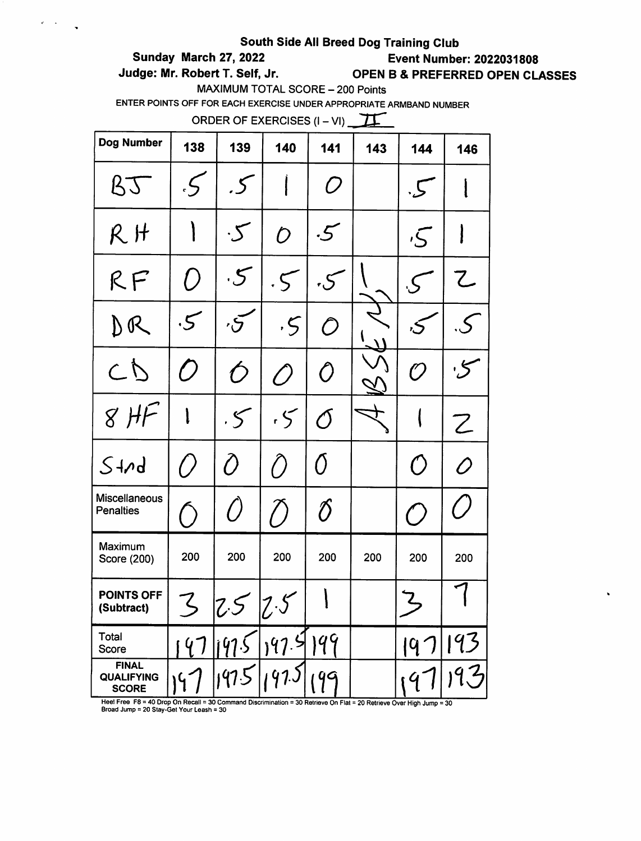$\mathbf{e}^{\mathrm{d}}=\mathbf{e}^{\mathrm{d}\mathbf{e}^{\mathrm{d}}_{\mathrm{d}t}}$ 

 $\ddot{\phantom{1}}$ 

Sunday March 27, 2022 Event Number: 2022031808

Judge: Mr. Robert T. Self, Jr. OPEN B & PREFERRED OPEN CLASSES

 $\ddot{\phantom{0}}$ 

MAXIMUM TOTAL SCORE - 200 Points

ENTER POINTS OFF FOR EACH EXERCISE UNDER APPROPRIATE ARMBAND NUMBER

ORDER OF EXERCISES  $(I - VI)$ 

| Dog Number                                        | 138                | 139                   | 140                         | 141                                                       | 143 | 144           | 146       |
|---------------------------------------------------|--------------------|-----------------------|-----------------------------|-----------------------------------------------------------|-----|---------------|-----------|
| BT                                                | $\cdot$ S          | .5                    |                             | O                                                         |     | $\cdot$ S     |           |
| $R$ H                                             |                    | $\cdot$ $\mathcal{S}$ | $\mathcal{D}$               | $\cdot 5$                                                 |     | $\sqrt{5}$    |           |
| RF                                                | $\left(\right)$    | $\cdot$ 5             |                             | $\cdot 5$                                                 |     |               | こ         |
| DR                                                | $\cdot$ 5          | $\sigma$              | $\mathcal{S}$               | $\mathcal O$                                              |     |               |           |
| CD                                                | $\bm{\mathcal{D}}$ | $\hat{O}$             | $\mathcal O$                | $\hat{O}$                                                 |     | (?)           | $\cdot$ 5 |
| $8$ HF                                            |                    | $.5\%$                | .5                          | Ő                                                         |     |               | Z         |
| $S+nd$                                            | $\left(\right)$    | $\hat{O}$             | $\bigcap$                   | Ő                                                         |     | $\bigcirc$    | O         |
| <b>Miscellaneous</b><br><b>Penalties</b>          | $\left(\right)$    | $\left(\right)$       |                             | $\mathcal{D}% _{M_{1},M_{2}}^{\alpha,\beta}(\varepsilon)$ |     | $^{\prime}$ ) |           |
| Maximum<br>Score (200)                            | 200                | 200                   | 200                         | 200                                                       | 200 | 200           | 200       |
| POINTS OFF<br>(Subtract)                          | て                  | 7 <                   | $\leq$<br>$  \mathcal{U}  $ |                                                           |     | Z             |           |
| Total<br>Score                                    |                    |                       | 197.5                       | 199                                                       |     | $19^{\prime}$ | 193       |
| <b>FINAL</b><br><b>QUALIFYING</b><br><b>SCORE</b> |                    | 1975                  |                             | qq                                                        |     |               |           |

Heel Free F8 = 40 Drop On Recall = 30 Command Discrimination = 30 Retrieve On Flat = 20 Retrieve Over High Jump = 30<br>Broad Jump = 20 Stay-Get Your Leash = 30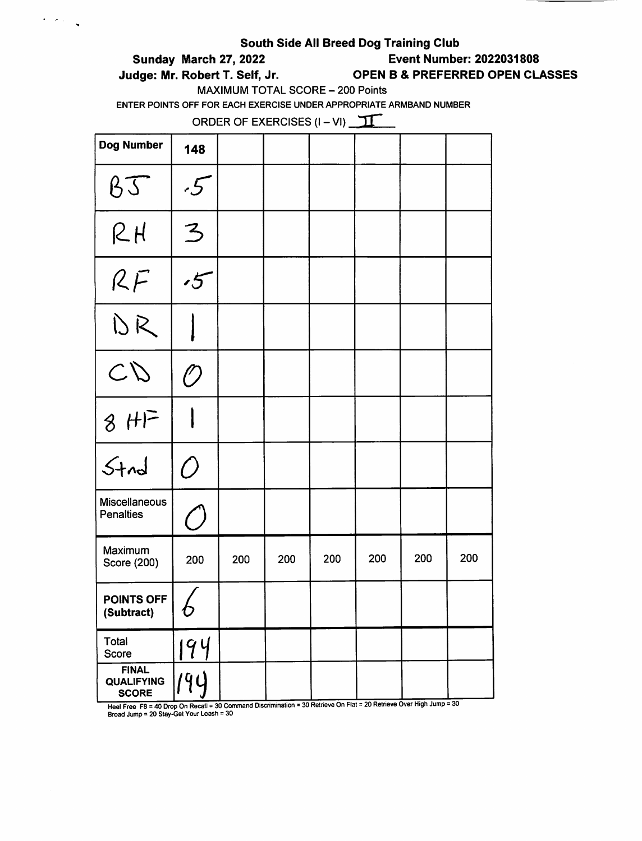$\epsilon$  ,  $\epsilon$  ,  $\epsilon$ 

# Sunday March 27, 2022 Event Number: 2022031808

Judge: Mr. Robert T. Self, Jr. OPEN B & PREFERRED OPEN CLASSES

MAXIMUM TOTAL SCORE - 200 Points

ENTER POINTS OFF FOR EACH EXERCISE UNDER APPROPRIATE ARMBAND NUMBER

ORDER OF EXERCISES  $(I - VI)$   $\sqrt{1}$ 

| Dog Number                                        | 148            |     |     |     |     |     |        |
|---------------------------------------------------|----------------|-----|-----|-----|-----|-----|--------|
| BJ                                                | $\mathcal{F}$  |     |     |     |     |     |        |
| $R$ $H$                                           | $\overline{3}$ |     |     |     |     |     |        |
| RF                                                | $\mathcal{L}$  |     |     |     |     |     |        |
| DR                                                |                |     |     |     |     |     |        |
| CD                                                | $\mathcal{O}$  |     |     |     |     |     |        |
| $8 HF$                                            |                |     |     |     |     |     |        |
| $5 + n d$                                         | $\bigcirc$     |     |     |     |     |     |        |
| <b>Miscellaneous</b><br><b>Penalties</b>          |                |     |     |     |     |     |        |
| Maximum<br>Score (200)                            | 200            | 200 | 200 | 200 | 200 | 200 | 200    |
| POINTS OFF<br>(Subtract)                          | O              |     |     |     |     |     |        |
| Total<br>Score                                    | 194            |     |     |     |     |     |        |
| <b>FINAL</b><br><b>QUALIFYING</b><br><b>SCORE</b> | 194            |     |     |     |     |     | $\sim$ |

Heel Free F8 = 40 Drop On Recall = 30 Command Discrimination = 30 Retrieve On Flat = 20 Retrieve Over High Jump = 30 Broad Jump = 20 Stay-Gel Your Leash = 30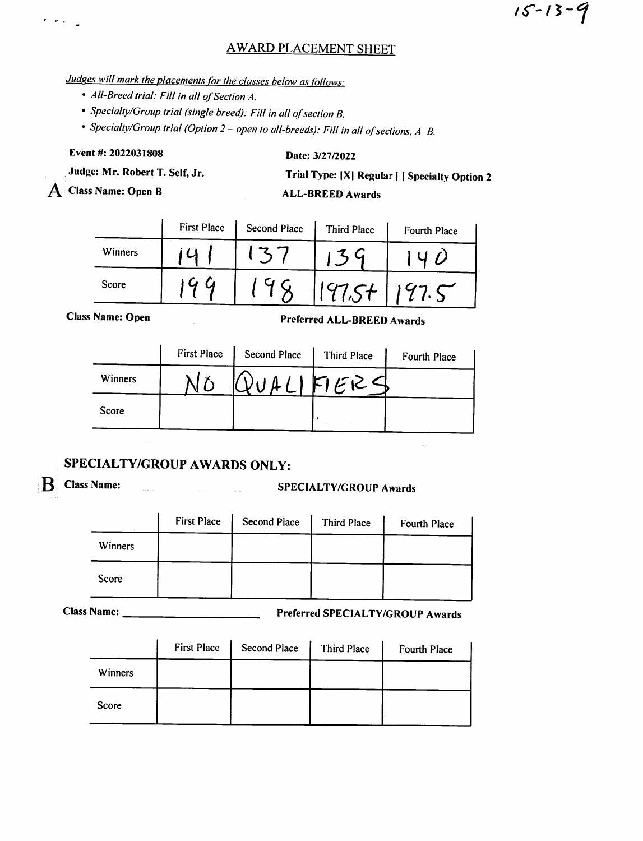# **AWARD PLACEMENT SHEET**

# Judges will mark the placements for the classes below as follows:

- All-Breed trial: Fill in all of Section A.
- Specialty/Group trial (single breed): Fill in all of section B.
- Specialty/Group trial (Option 2 open to all-breeds): Fill in all of sections, A B.

Event #: 2022031808

Date: 3/27/2022

Judge: Mr. Robert T. Self, Jr.

 $\bf{A}$  Class Name: Open B

 $\pmb{r} = \pmb{e}^{\dagger} \pmb{e}^{\dagger}$ 

Trial Type: |X| Regular | | Specialty Option 2

 $15 - 13 - 9$ 

# ALL-BREED Awards

|         | <b>First Place</b> | <b>Second Place</b> | <b>Third Place</b> | Fourth Place |
|---------|--------------------|---------------------|--------------------|--------------|
| Winners |                    |                     |                    |              |
| Score   |                    |                     |                    |              |

**Class Name: Open** 

Preferr ed ALL-BREED Awards

|         | <b>First Place</b> | Second Place | Third Place | Fourth Place |
|---------|--------------------|--------------|-------------|--------------|
| Winners |                    |              | 111FFEC     |              |
| Score   |                    |              |             |              |

# SPECIALTY/GROUP AWARDS ONLY:

# B Class Name: SPECIALTY/GROUP Awards

|         | <b>First Place</b> | <b>Second Place</b> | Third Place | Fourth Place |
|---------|--------------------|---------------------|-------------|--------------|
| Winners |                    |                     |             |              |
| Score   |                    |                     |             |              |

Name: Preferred SPECIALTY/GROUP Awards

|                | <b>First Place</b> | <b>Second Place</b> | Third Place | <b>Fourth Place</b> |
|----------------|--------------------|---------------------|-------------|---------------------|
| <b>Winners</b> |                    |                     |             |                     |
| <b>Score</b>   |                    |                     |             |                     |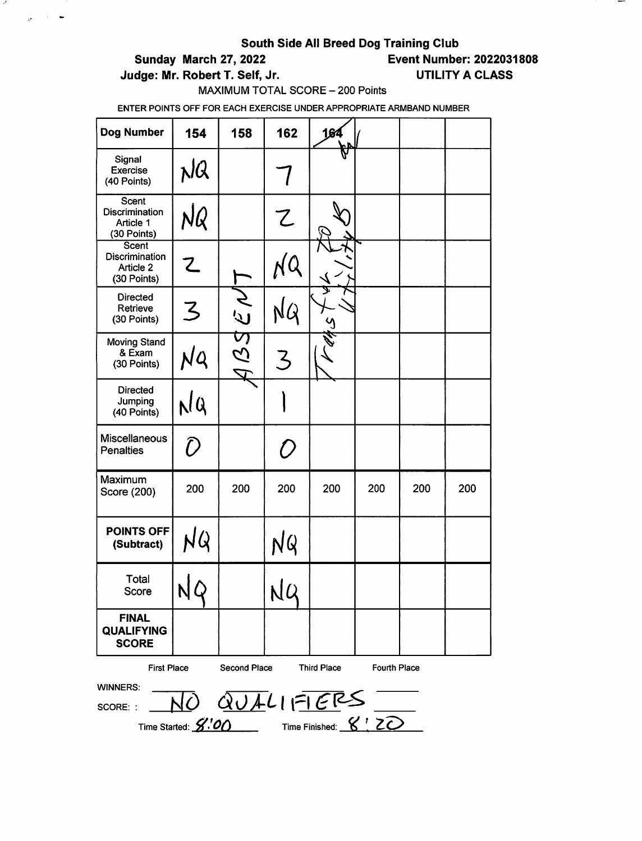$\mathcal{L}$ 

 $\alpha_{\rm B}$  and  $\beta_{\rm B}$ 

Sunday March 27, 2022 Event Number: 2022031808

Judge: Mr. Robert T. Self, Jr. (2008) UTILITY A CLASS

MAXIMUM TOTAL SCORE - 200 Points

| Dog Number                                                 | 154 | 158                 | 162           | 164                                                                                                                           |                     |     |     |
|------------------------------------------------------------|-----|---------------------|---------------|-------------------------------------------------------------------------------------------------------------------------------|---------------------|-----|-----|
| Signal<br><b>Exercise</b><br>(40 Points)                   | NQ  |                     |               |                                                                                                                               |                     |     |     |
| Scent<br>Discrimination<br>Article 1<br>(30 Points)        | NQ  |                     | Z             |                                                                                                                               |                     |     |     |
| Scent<br><b>Discrimination</b><br>Article 2<br>(30 Points) | て   |                     |               |                                                                                                                               |                     |     |     |
| <b>Directed</b><br>Retrieve<br>(30 Points)                 | 3   | どう                  |               |                                                                                                                               |                     |     |     |
| Moving Stand<br>& Exam<br>(30 Points)                      | NQ  | 221<br>2            | $\mathcal{Z}$ |                                                                                                                               |                     |     |     |
| <b>Directed</b><br>Jumping<br>(40 Points)                  | NQ  |                     |               |                                                                                                                               |                     |     |     |
| <b>Miscellaneous</b><br><b>Penalties</b>                   | D   |                     | 0             |                                                                                                                               |                     |     |     |
| Maximum<br>Score (200)                                     | 200 | 200                 | 200           | 200                                                                                                                           | 200                 | 200 | 200 |
| <b>POINTS OFF</b><br>(Subtract)                            | NQ  |                     | NQ            |                                                                                                                               |                     |     |     |
| Total<br>Score                                             | NY  |                     | NQ            |                                                                                                                               |                     |     |     |
| <b>FINAL</b><br><b>QUALIFYING</b><br><b>SCORE</b>          |     |                     |               |                                                                                                                               |                     |     |     |
| <b>First Place</b><br><b>WINNERS:</b><br>SCORE: :          |     | <b>Second Place</b> |               | <b>Third Place</b><br>$\frac{1}{\sqrt{10}} \frac{1}{\sqrt{10}} \frac{1}{\sqrt{10}} \frac{1}{\sqrt{10}} = \frac{1}{\sqrt{10}}$ | <b>Fourth Place</b> |     |     |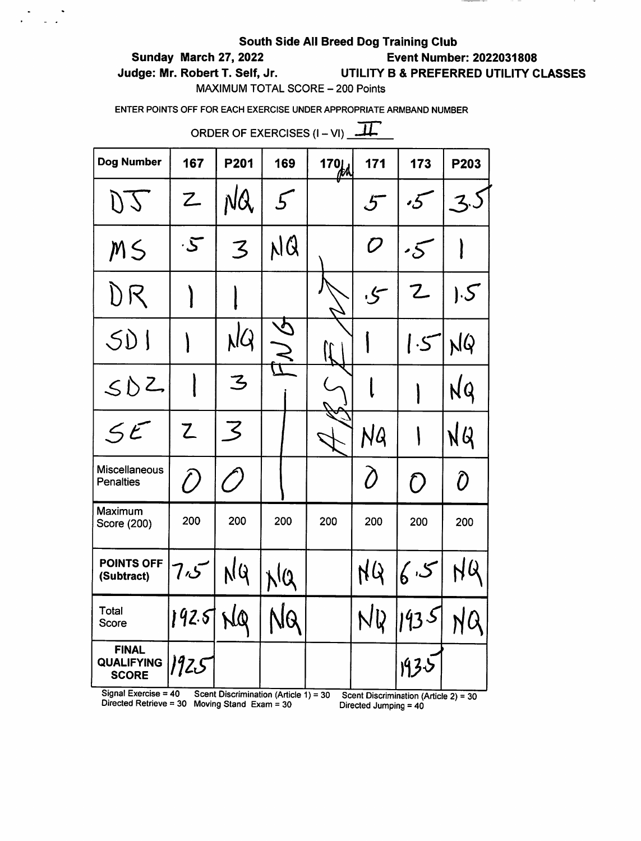# Sunday March 27, 2022 Event Number: 2022031808

 $\frac{1}{2}$  ,  $\frac{1}{2}$  ,  $\frac{1}{2}$ 

# Judge: Mr. Robert T. Self, Jr. UTILITY B & PREFERRED UTILITY CLASSES

MAXIMUM TOTAL SCORE - 200 Points

ENTER POINTS OFF FOR EACH EXERCISE UNDER APPROPRIATE ARMBAND NUMBER

|                                                                      | ORDER OF EXERCISES $(I - VI)$ $\overline{\phantom{a}11}$ |          |     |     |                                                           |                     |                          |  |  |  |
|----------------------------------------------------------------------|----------------------------------------------------------|----------|-----|-----|-----------------------------------------------------------|---------------------|--------------------------|--|--|--|
| <b>Dog Number</b>                                                    | 167                                                      | P201     | 169 | 170 | 171                                                       | 173                 | P203                     |  |  |  |
| DJ                                                                   | Z                                                        | NQ       |     |     | 5                                                         | $\boldsymbol{.5}$   | ろ                        |  |  |  |
| MS                                                                   | $\cdot$ 5                                                | 3        | NQ  |     | $\mathcal{D}% _{M_{1},M_{2}}^{\alpha,\beta}(\varepsilon)$ | $\overline{\cdot5}$ |                          |  |  |  |
| DR                                                                   |                                                          |          |     |     | کی,                                                       | $\mathsf Z$         | $\mathsf{E}[\mathsf{S}]$ |  |  |  |
| SD1                                                                  |                                                          | NQ       |     |     |                                                           | 1.5                 | NQ                       |  |  |  |
| SDE                                                                  |                                                          | <u>Z</u> |     |     |                                                           |                     | NQ                       |  |  |  |
| 5t                                                                   | $\mathsf Z$                                              | 3        |     |     | NG                                                        |                     | NQ                       |  |  |  |
| <b>Miscellaneous</b><br><b>Penalties</b>                             | $\hat{O}$                                                |          |     |     | Ò                                                         | Ο                   | Ô                        |  |  |  |
| Maximum<br>Score (200)                                               | 200                                                      | 200      | 200 | 200 | 200                                                       | 200                 | 200                      |  |  |  |
| <b>POINTS OFF</b><br>(Subtract)                                      | 7،5                                                      |          |     |     |                                                           | 6.5                 |                          |  |  |  |
| Total<br><b>Score</b>                                                | 192.5                                                    | NQ       |     |     |                                                           | NQ 1935             |                          |  |  |  |
| <b>FINAL</b><br><b>QUALIFYING</b><br><b>SCORE</b><br>Signal Everoice | 1925                                                     |          |     |     |                                                           | 1935                |                          |  |  |  |

Signal Exercise = 40 Scent Discrimination (Article 1) = 30 Scent Discrimination (Article 2) = 30 Directed Jumping = 40 Directed Jumping = 40 xercise = 40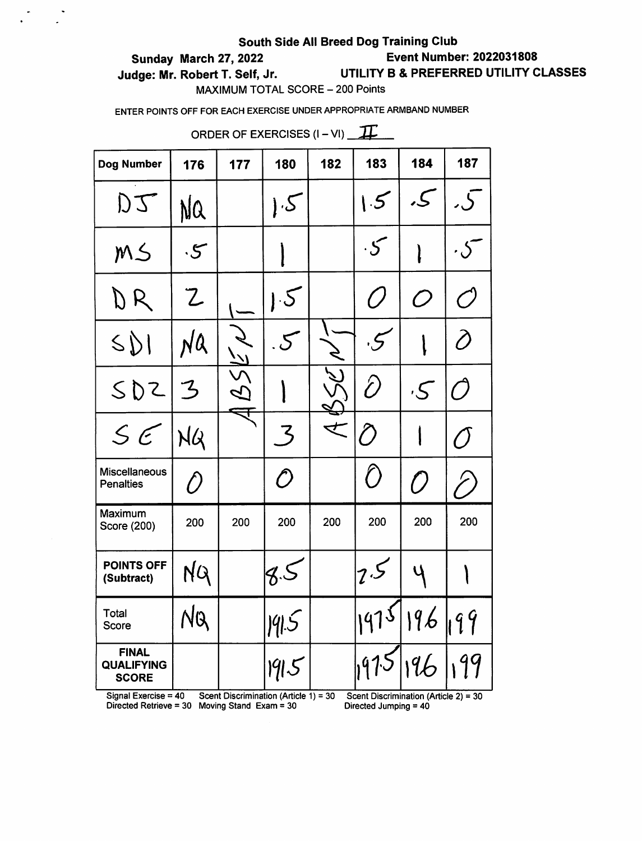# Sunday March 27, 2022 Event Number: 2022031808

 $\begin{pmatrix} 1 & 1 & 1 \\ 1 & 1 & 1 \\ 1 & 1 & 1 \end{pmatrix}$ 

# Judge: Mr. Robert T. Self, Jr. UTILITY 8 & PREFERRED UTILITY CLASSES

MAXIMUM TOTAL SCORE - 200 Points

ENTER POINTS OFF FOR EACH EXERCISE UNDER APPROPRIATE ARMBAND NUMBER

| ORDER OF EXERCISES $(I - VI)$ $\overline{H}$      |               |     |            |     |               |                       |                                               |
|---------------------------------------------------|---------------|-----|------------|-----|---------------|-----------------------|-----------------------------------------------|
| <b>Dog Number</b>                                 | 176           | 177 | 180        | 182 | 183           | 184                   | 187                                           |
| DJ                                                | NQ            |     | $\cdot$ S  |     | $\mathcal{F}$ | ک,                    | .ل                                            |
| MS                                                | $\cdot$ 5     |     |            |     | $\cdot$ S     |                       |                                               |
| DR                                                | $\mathcal{Z}$ |     | 1.5        |     | $\sqrt{}$     | $\mathcal O$          | $\bigcap$                                     |
| $S\mathcal{D}$                                    | NQ            |     | $\cdot 5$  |     | $\cdot$ 5     |                       | Ô                                             |
| SDZ                                               | 3             |     |            |     | D             | $\cdot$ $\mathcal{S}$ |                                               |
| S E                                               | NQ            |     | ʹ៹         |     | Õ             |                       | $\left(\begin{array}{c} 1 \end{array}\right)$ |
| <b>Miscellaneous</b><br><b>Penalties</b>          |               |     | $\bigcirc$ |     | $\bigcirc$    | $\mathcal{L}$         |                                               |
| Maximum<br>Score (200)                            | 200           | 200 | 200        | 200 | 200           | 200                   | 200                                           |
| POINTS OFF<br>(Subtract)                          |               |     |            |     | 7.5           |                       |                                               |
| Total<br>Score                                    | NQ            |     | 19.5       |     | 1975          | 196 199               |                                               |
| <b>FINAL</b><br><b>QUALIFYING</b><br><b>SCORE</b> |               |     | 1915       |     | 1975          | 196                   | 99                                            |

Directed Retrieve = 30 Moving Stand Exam = 30 Directed Jumping = 40

Signal Exercise = 40 Scent Discrimination (Article 1) = 30 Scent Discrimination (Article 2) = 30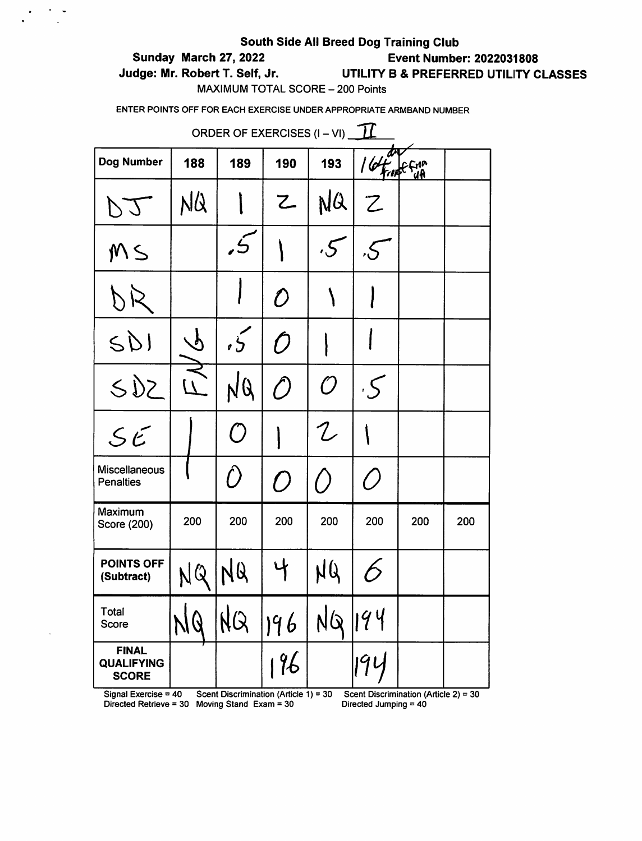# Sunday March 27, 2022 Event Number: 2022031808

 $\overline{\phantom{a}}$ 

# Judge: Mr. Robert T. Self, Jr. UTILITY B & PREFERRED UTILITY CLASSES

MAXIMUM TOTAL SCORE - 200 Points

ENTER POINTS OFF FOR EACH EXERCISE UNDER APPROPRIATE ARMBAND NUMBER

| ORDER OF EXERCISES (I – VI) 11                                            |          |                                       |              |                 |                       |                                          |     |  |
|---------------------------------------------------------------------------|----------|---------------------------------------|--------------|-----------------|-----------------------|------------------------------------------|-----|--|
| <b>Dog Number</b>                                                         | 188      | 189                                   | 190          | 193             | 164                   | <b>From</b>                              |     |  |
| L (1                                                                      | NQ       |                                       | 乙            | NQ              | Z                     |                                          |     |  |
| MS                                                                        |          | نی<br>د                               |              | $\cdot 5$       | $\mathcal{S}$         |                                          |     |  |
|                                                                           |          |                                       | $\mathcal D$ |                 |                       |                                          |     |  |
| SDI                                                                       | $\gamma$ | $\tilde{5}$                           | Ŋ            |                 |                       |                                          |     |  |
| SDE                                                                       | $\prime$ | NQ                                    | $\hat{O}$    | $\mathcal O$    | $\cdot$ 5             |                                          |     |  |
| SE                                                                        |          | ( )                                   |              | ${\mathcal{L}}$ |                       |                                          |     |  |
| Miscellaneous<br><b>Penalties</b>                                         |          | $\hat{O}$                             | $\bigcap$    | $\big($ $\big)$ | ( )                   |                                          |     |  |
| Maximum<br>Score (200)                                                    | 200      | 200                                   | 200          | 200             | 200                   | 200                                      | 200 |  |
| <b>POINTS OFF</b><br>(Subtract)                                           |          | NQ                                    |              | NU              | $\acute{\rightarrow}$ |                                          |     |  |
| Total<br>Score                                                            |          |                                       | NQ   96   NQ |                 | 1194                  |                                          |     |  |
| <b>FINAL</b><br><b>QUALIFYING</b><br><b>SCORE</b><br>Signal Exercise = 40 |          | Scent Discrimination (Article 1) = 30 | 196          |                 | $q_{\mathsf{L}}$      | Scent Discrimination (Article $2$ ) = 30 |     |  |

Directed Retrieve = 30 Moving Stand Exam =  $30$  Directed Jumping =  $40$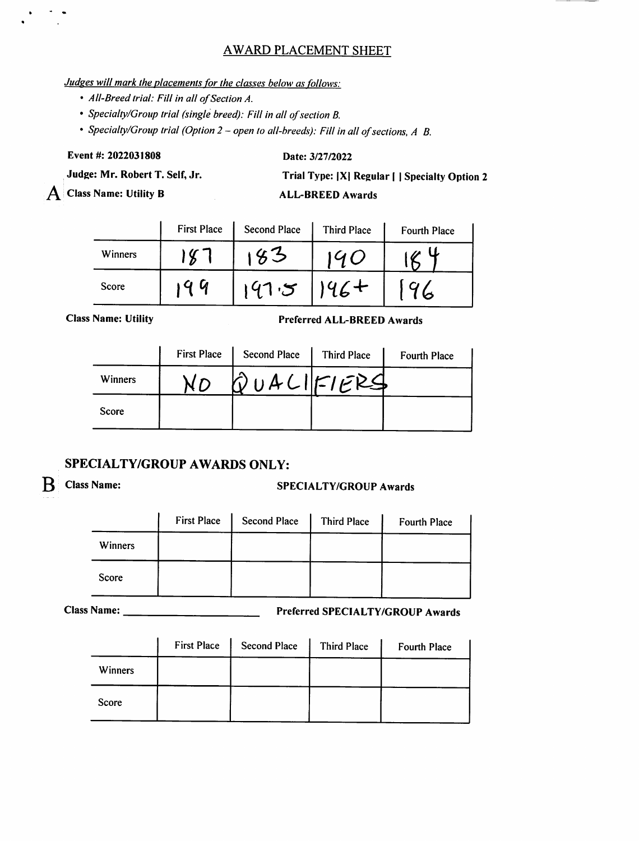# AWARD PLACEMENT SHEET

### Judges will mark the placements for the classes below as follows:

- All-Breed trial: Fill in all of Section A.
- Specialty/Group trial (single breed): Fill in all of section B.

• Specialty/Group trial (Option  $2$  – open to all-breeds): Fill in all of sections, A B.

Event #: 2022031808

#### Date: 3/27/2022

Judge: Mr. Robert T. Self, Jr.

 $\bf{A}$  Class Name: Utility B

Trial Type: |X| Regular | | Specialty Option 2

ALL-BREED Awards

|         | <b>First Place</b> | <b>Second Place</b> | <b>Third Place</b> | Fourth Place |
|---------|--------------------|---------------------|--------------------|--------------|
| Winners |                    |                     |                    |              |
| Score   | u                  |                     |                    |              |

**Class Name: Utility** 

#### Preferr ed ALL-BREED Awards

|         | <b>First Place</b> | <b>Second Place</b> | <b>Third Place</b> | <b>Fourth Place</b> |
|---------|--------------------|---------------------|--------------------|---------------------|
| Winners |                    | QUACIFIERS          |                    |                     |
| Score   |                    |                     |                    |                     |

# SPECIALTY/GROUP AWARDS ONLY:

# B Class Name: SPECIALTY/GROUP Awards

|         | <b>First Place</b> | <b>Second Place</b> | Third Place | Fourth Place |
|---------|--------------------|---------------------|-------------|--------------|
| Winners |                    |                     |             |              |
| Score   |                    |                     |             |              |

Name: Preferred SPECIALTY/GROUP Awards

|                | <b>First Place</b> | <b>Second Place</b> | Third Place | <b>Fourth Place</b> |
|----------------|--------------------|---------------------|-------------|---------------------|
| <b>Winners</b> |                    |                     |             |                     |
| Score          |                    |                     |             |                     |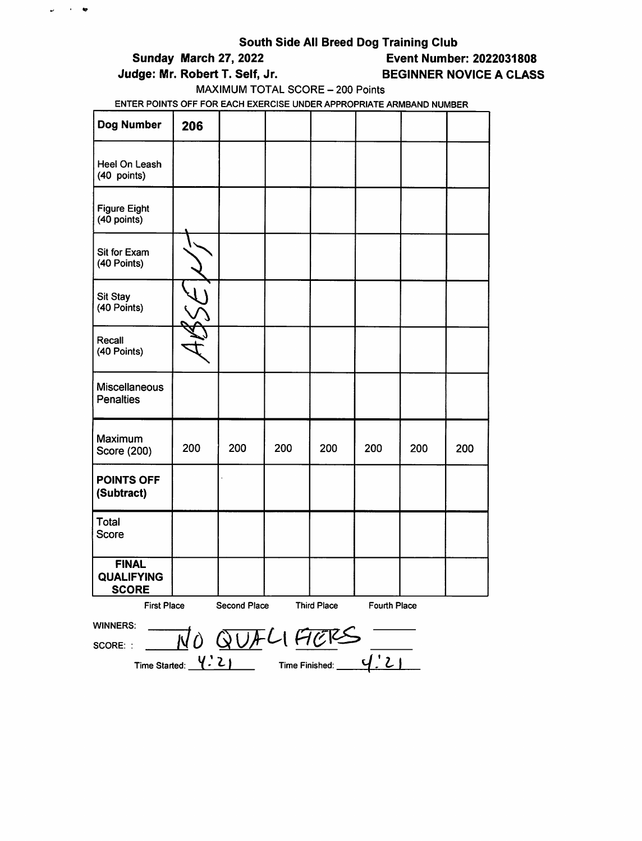$\omega$  ,  $\omega$  , and

# Sunday March 27, 2022 Event Number: 2022031808

### Judge: Mr. Robert T. Self, Jr. BEGINNER NOVICE A CLASS

# MAXIMUM TOTAL SCORE - 200 Points

| <b>Dog Number</b>                                 | 206                                                                             |     |              |     |     |     |     |
|---------------------------------------------------|---------------------------------------------------------------------------------|-----|--------------|-----|-----|-----|-----|
| Heel On Leash<br>(40 points)                      |                                                                                 |     |              |     |     |     |     |
| <b>Figure Eight</b><br>$(40$ points)              |                                                                                 |     |              |     |     |     |     |
| Sit for Exam<br>(40 Points)                       |                                                                                 |     |              |     |     |     |     |
| <b>Sit Stay</b><br>(40 Points)                    |                                                                                 |     |              |     |     |     |     |
| Recall<br>(40 Points)                             |                                                                                 |     |              |     |     |     |     |
| Miscellaneous<br><b>Penalties</b>                 |                                                                                 |     |              |     |     |     |     |
| Maximum<br>Score (200)                            | 200                                                                             | 200 | 200          | 200 | 200 | 200 | 200 |
| <b>POINTS OFF</b><br>(Subtract)                   |                                                                                 |     |              |     |     |     |     |
| <b>Total</b><br><b>Score</b>                      |                                                                                 |     |              |     |     |     |     |
| <b>FINAL</b><br><b>QUALIFYING</b><br><b>SCORE</b> |                                                                                 |     |              |     |     |     |     |
|                                                   | Second Place<br><b>Third Place</b><br><b>First Place</b><br><b>Fourth Place</b> |     |              |     |     |     |     |
| <b>WINNERS:</b>                                   |                                                                                 |     | NO QUELI FIE |     |     |     |     |
| SCORE: :                                          |                                                                                 |     |              |     |     |     |     |
| Time Started: $\frac{V.2}{V}$ Time Finished:      |                                                                                 |     |              |     |     |     |     |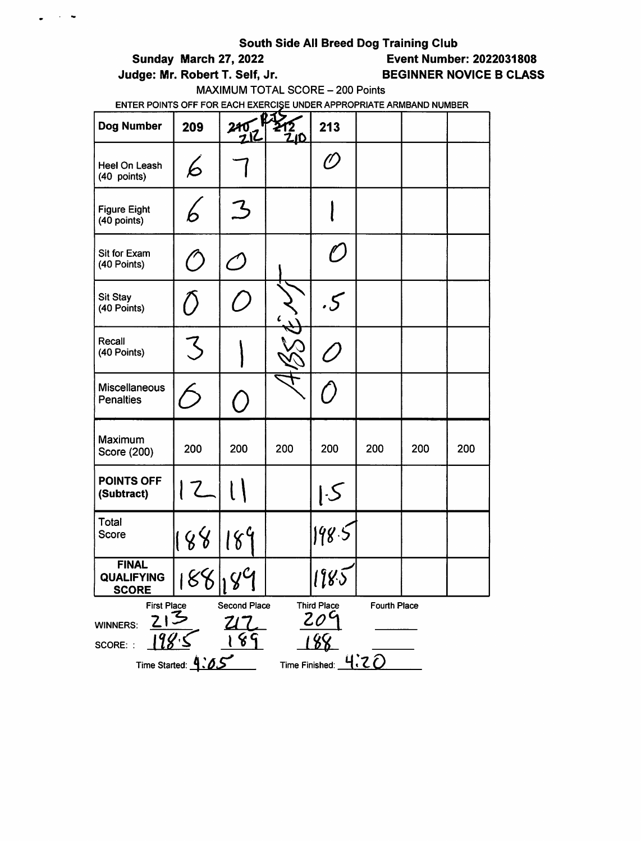$\sim$   $\sim$ 

 $\bullet$ 

Sunday March 27, 2022 Event Number: 2022031808

# Judge: Mr. Robert T. Self, Jr. BEGINNER NOVICE B CLASS

MAXIMUM TOTAL SCORE - 200 Points

| <b>Dog Number</b>                                 | 209                                                                                                                               | 240/2        | <u>.ID</u> | 213                         |     |     |     |  |
|---------------------------------------------------|-----------------------------------------------------------------------------------------------------------------------------------|--------------|------------|-----------------------------|-----|-----|-----|--|
| Heel On Leash<br>(40 points)                      | 6                                                                                                                                 |              |            | C)                          |     |     |     |  |
| <b>Figure Eight</b><br>(40 points)                |                                                                                                                                   | ろ            |            |                             |     |     |     |  |
| Sit for Exam<br>(40 Points)                       | $^{\prime\prime}$                                                                                                                 | $\mathcal C$ |            | $\mathcal{O}$               |     |     |     |  |
| Sit Stay<br>(40 Points)                           |                                                                                                                                   |              |            | .5                          |     |     |     |  |
| Recall<br>(40 Points)                             | Z                                                                                                                                 |              |            |                             |     |     |     |  |
| Miscellaneous<br><b>Penalties</b>                 |                                                                                                                                   | $\epsilon$ . |            | $\mathcal{L}_{\mathcal{A}}$ |     |     |     |  |
| Maximum<br>Score (200)                            | 200                                                                                                                               | 200          | 200        | 200                         | 200 | 200 | 200 |  |
| <b>POINTS OFF</b><br>(Subtract)                   | 12                                                                                                                                |              |            | 5                           |     |     |     |  |
| Total<br>Score                                    | 188                                                                                                                               | 189          |            | 198.5                       |     |     |     |  |
| <b>FINAL</b><br><b>QUALIFYING</b><br><b>SCORE</b> |                                                                                                                                   | 88199        |            | 1985                        |     |     |     |  |
| <b>WINNERS:</b><br>SCORE: :<br>Time Started: 4.0. | <b>Third Place</b><br><b>First Place</b><br>Second Place<br><b>Fourth Place</b><br>$\it 20^{\rm c}$<br>8<br>५.२<br>Time Finished: |              |            |                             |     |     |     |  |